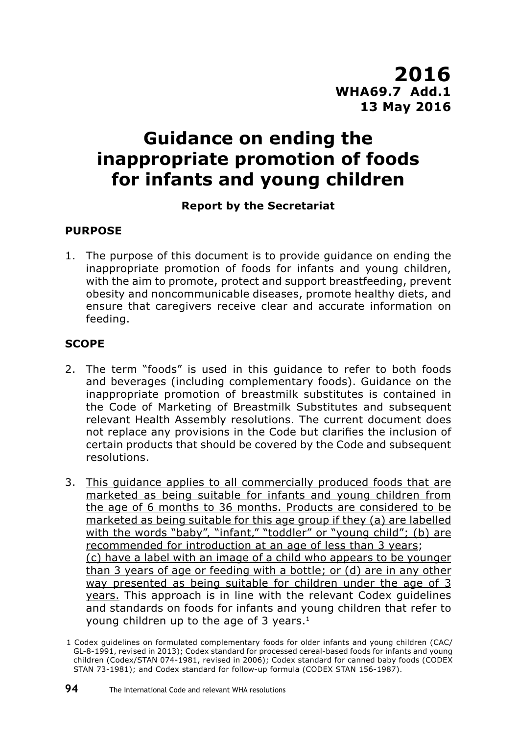# **Guidance on ending the inappropriate promotion of foods for infants and young children**

# **Report by the Secretariat**

### **PURPOSE**

1. The purpose of this document is to provide guidance on ending the inappropriate promotion of foods for infants and young children, with the aim to promote, protect and support breastfeeding, prevent obesity and noncommunicable diseases, promote healthy diets, and ensure that caregivers receive clear and accurate information on feeding.

# **SCOPE**

- 2. The term "foods" is used in this guidance to refer to both foods and beverages (including complementary foods). Guidance on the inappropriate promotion of breastmilk substitutes is contained in the Code of Marketing of Breastmilk Substitutes and subsequent relevant Health Assembly resolutions. The current document does not replace any provisions in the Code but clarifies the inclusion of certain products that should be covered by the Code and subsequent resolutions.
- 3. This guidance applies to all commercially produced foods that are marketed as being suitable for infants and young children from the age of 6 months to 36 months. Products are considered to be marketed as being suitable for this age group if they (a) are labelled with the words "baby", "infant," "toddler" or "young child"; (b) are recommended for introduction at an age of less than 3 years; (c) have a label with an image of a child who appears to be younger than 3 years of age or feeding with a bottle; or (d) are in any other way presented as being suitable for children under the age of 3 years. This approach is in line with the relevant Codex guidelines and standards on foods for infants and young children that refer to young children up to the age of 3 years.<sup>1</sup>

<sup>1</sup> Codex guidelines on formulated complementary foods for older infants and young children (CAC/ GL-8-1991, revised in 2013); Codex standard for processed cereal-based foods for infants and young children (Codex/STAN 074-1981, revised in 2006); Codex standard for canned baby foods (CODEX STAN 73-1981); and Codex standard for follow-up formula (CODEX STAN 156-1987).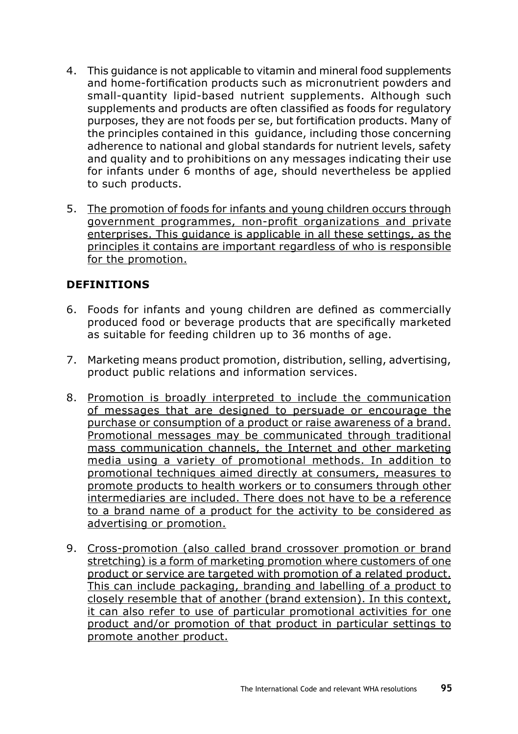- 4. This guidance is not applicable to vitamin and mineral food supplements and home-fortification products such as micronutrient powders and small-quantity lipid-based nutrient supplements. Although such supplements and products are often classified as foods for regulatory purposes, they are not foods per se, but fortification products. Many of the principles contained in this guidance, including those concerning adherence to national and global standards for nutrient levels, safety and quality and to prohibitions on any messages indicating their use for infants under 6 months of age, should nevertheless be applied to such products.
- 5. The promotion of foods for infants and young children occurs through government programmes, non-profit organizations and private enterprises. This guidance is applicable in all these settings, as the principles it contains are important regardless of who is responsible for the promotion.

# **DEFINITIONS**

- 6. Foods for infants and young children are defined as commercially produced food or beverage products that are specifically marketed as suitable for feeding children up to 36 months of age.
- 7. Marketing means product promotion, distribution, selling, advertising, product public relations and information services.
- 8. Promotion is broadly interpreted to include the communication of messages that are designed to persuade or encourage the purchase or consumption of a product or raise awareness of a brand. Promotional messages may be communicated through traditional mass communication channels, the Internet and other marketing media using a variety of promotional methods. In addition to promotional techniques aimed directly at consumers, measures to promote products to health workers or to consumers through other intermediaries are included. There does not have to be a reference to a brand name of a product for the activity to be considered as advertising or promotion.
- 9. Cross-promotion (also called brand crossover promotion or brand stretching) is a form of marketing promotion where customers of one product or service are targeted with promotion of a related product. This can include packaging, branding and labelling of a product to closely resemble that of another (brand extension). In this context, it can also refer to use of particular promotional activities for one product and/or promotion of that product in particular settings to promote another product.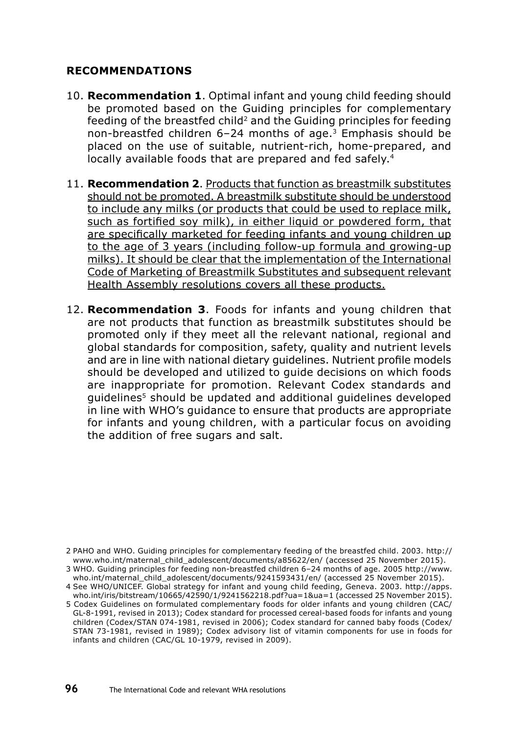### **RECOMMENDATIONS**

- 10. **Recommendation 1**. Optimal infant and young child feeding should be promoted based on the Guiding principles for complementary feeding of the breastfed child<sup>2</sup> and the Guiding principles for feeding non-breastfed children 6–24 months of age.<sup>3</sup> Emphasis should be placed on the use of suitable, nutrient-rich, home-prepared, and locally available foods that are prepared and fed safely.<sup>4</sup>
- 11. **Recommendation 2**. Products that function as breastmilk substitutes should not be promoted. A breastmilk substitute should be understood to include any milks (or products that could be used to replace milk, such as fortified soy milk), in either liquid or powdered form, that are specifically marketed for feeding infants and young children up to the age of 3 years (including follow-up formula and growing-up milks). It should be clear that the implementation of the International Code of Marketing of Breastmilk Substitutes and subsequent relevant Health Assembly resolutions covers all these products.
- 12. **Recommendation 3**. Foods for infants and young children that are not products that function as breastmilk substitutes should be promoted only if they meet all the relevant national, regional and global standards for composition, safety, quality and nutrient levels and are in line with national dietary guidelines. Nutrient profile models should be developed and utilized to guide decisions on which foods are inappropriate for promotion. Relevant Codex standards and guidelines5 should be updated and additional guidelines developed in line with WHO's guidance to ensure that products are appropriate for infants and young children, with a particular focus on avoiding the addition of free sugars and salt.

<sup>2</sup> PAHO and WHO. Guiding principles for complementary feeding of the breastfed child. 2003. http:// www.who.int/maternal\_child\_adolescent/documents/a85622/en/ (accessed 25 November 2015). 3 WHO. Guiding principles for feeding non-breastfed children 6–24 months of age. 2005 http://www.

who.int/maternal\_child\_adolescent/documents/9241593431/en/ (accessed 25 November 2015). 4 See WHO/UNICEF. Global strategy for infant and young child feeding, Geneva. 2003. http://apps.

who.int/iris/bitstream/10665/42590/1/9241562218.pdf?ua=1&ua=1 (accessed 25 November 2015). 5 Codex Guidelines on formulated complementary foods for older infants and young children (CAC/ GL-8-1991, revised in 2013); Codex standard for processed cereal-based foods for infants and young children (Codex/STAN 074-1981, revised in 2006); Codex standard for canned baby foods (Codex/ STAN 73-1981, revised in 1989); Codex advisory list of vitamin components for use in foods for infants and children (CAC/GL 10-1979, revised in 2009).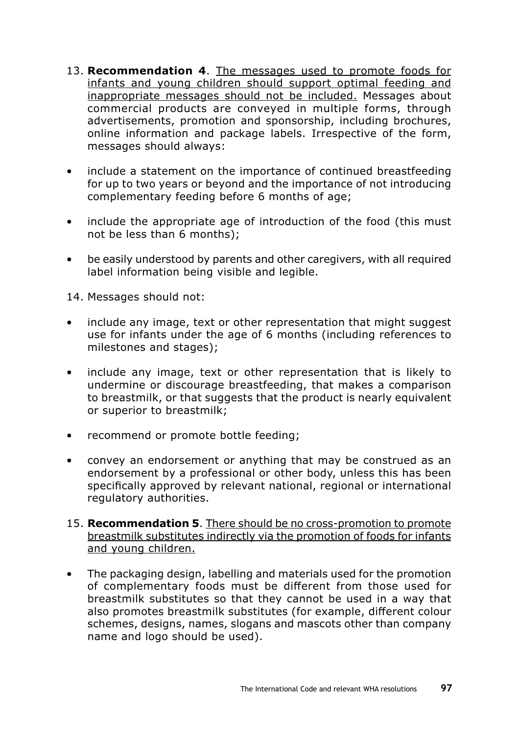- 13. **Recommendation 4**. The messages used to promote foods for infants and young children should support optimal feeding and inappropriate messages should not be included. Messages about commercial products are conveyed in multiple forms, through advertisements, promotion and sponsorship, including brochures, online information and package labels. Irrespective of the form, messages should always:
- include a statement on the importance of continued breastfeeding for up to two years or beyond and the importance of not introducing complementary feeding before 6 months of age;
- include the appropriate age of introduction of the food (this must not be less than 6 months);
- be easily understood by parents and other caregivers, with all required label information being visible and legible.

14. Messages should not:

- include any image, text or other representation that might suggest use for infants under the age of 6 months (including references to milestones and stages);
- include any image, text or other representation that is likely to undermine or discourage breastfeeding, that makes a comparison to breastmilk, or that suggests that the product is nearly equivalent or superior to breastmilk;
- recommend or promote bottle feeding;
- convey an endorsement or anything that may be construed as an endorsement by a professional or other body, unless this has been specifically approved by relevant national, regional or international regulatory authorities.
- 15. **Recommendation 5**. There should be no cross-promotion to promote breastmilk substitutes indirectly via the promotion of foods for infants and young children.
- The packaging design, labelling and materials used for the promotion of complementary foods must be different from those used for breastmilk substitutes so that they cannot be used in a way that also promotes breastmilk substitutes (for example, different colour schemes, designs, names, slogans and mascots other than company name and logo should be used).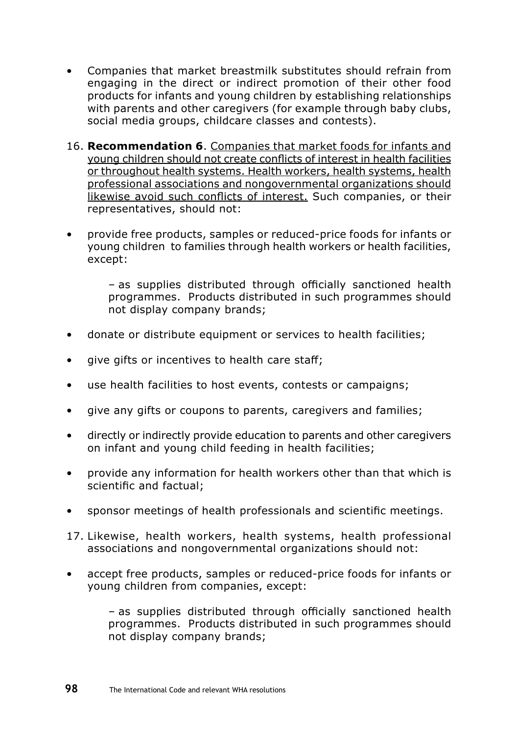- Companies that market breastmilk substitutes should refrain from engaging in the direct or indirect promotion of their other food products for infants and young children by establishing relationships with parents and other caregivers (for example through baby clubs, social media groups, childcare classes and contests).
- 16. **Recommendation 6**. Companies that market foods for infants and young children should not create conflicts of interest in health facilities or throughout health systems. Health workers, health systems, health professional associations and nongovernmental organizations should likewise avoid such conflicts of interest. Such companies, or their representatives, should not:
- provide free products, samples or reduced-price foods for infants or young children to families through health workers or health facilities, except:

– as supplies distributed through officially sanctioned health programmes. Products distributed in such programmes should not display company brands;

- donate or distribute equipment or services to health facilities;
- give gifts or incentives to health care staff;
- use health facilities to host events, contests or campaigns;
- give any gifts or coupons to parents, caregivers and families;
- directly or indirectly provide education to parents and other caregivers on infant and young child feeding in health facilities;
- provide any information for health workers other than that which is scientific and factual;
- sponsor meetings of health professionals and scientific meetings.
- 17. Likewise, health workers, health systems, health professional associations and nongovernmental organizations should not:
- accept free products, samples or reduced-price foods for infants or young children from companies, except:

– as supplies distributed through officially sanctioned health programmes. Products distributed in such programmes should not display company brands;